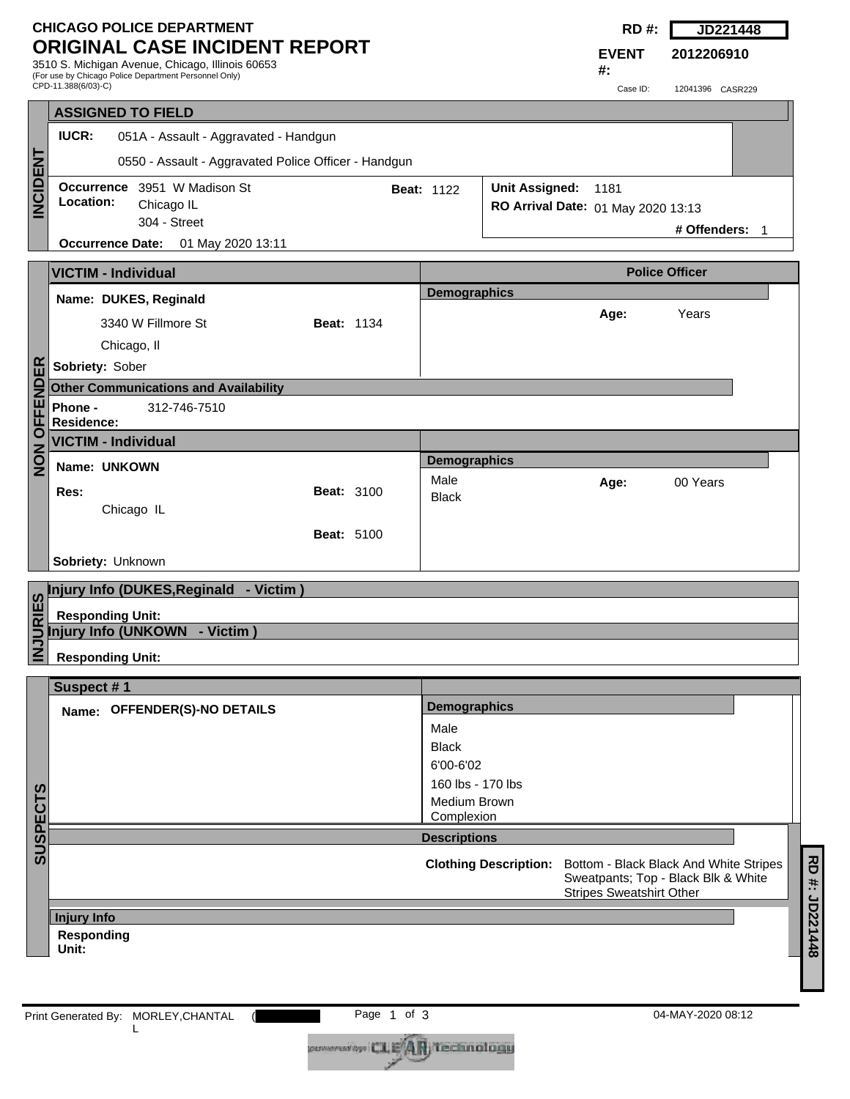## **CHICAGO POLICE DEPARTMENT ORIGINAL CASE INCIDENT REPORT**

3510 S. Michigan Avenue, Chicago, Illinois 60653 (For use by Chicago Police Department Personnel Only) CPD-11.388(6/03)-C)

| RD<br>- 77 | JD221448 |
|------------|----------|
|            |          |

**2012206910**

**EVENT #:**

Case ID: 12041396 CASR229

| <b>IUCR:</b>                                                 |                                                                                                                                                                                                                                                                                                                                                                |                                                                                 |                                                                                                                     |                                                                                |                                                                                                                  |                                     |                                                                           |
|--------------------------------------------------------------|----------------------------------------------------------------------------------------------------------------------------------------------------------------------------------------------------------------------------------------------------------------------------------------------------------------------------------------------------------------|---------------------------------------------------------------------------------|---------------------------------------------------------------------------------------------------------------------|--------------------------------------------------------------------------------|------------------------------------------------------------------------------------------------------------------|-------------------------------------|---------------------------------------------------------------------------|
|                                                              |                                                                                                                                                                                                                                                                                                                                                                |                                                                                 |                                                                                                                     |                                                                                |                                                                                                                  |                                     |                                                                           |
| Occurrence 3951 W Madison St<br>Location:<br>Chicago IL      |                                                                                                                                                                                                                                                                                                                                                                |                                                                                 |                                                                                                                     |                                                                                |                                                                                                                  |                                     |                                                                           |
|                                                              |                                                                                                                                                                                                                                                                                                                                                                |                                                                                 |                                                                                                                     |                                                                                |                                                                                                                  |                                     |                                                                           |
|                                                              |                                                                                                                                                                                                                                                                                                                                                                |                                                                                 |                                                                                                                     |                                                                                |                                                                                                                  |                                     |                                                                           |
|                                                              |                                                                                                                                                                                                                                                                                                                                                                |                                                                                 | <b>Police Officer</b>                                                                                               |                                                                                |                                                                                                                  |                                     |                                                                           |
| Name: DUKES, Reginald                                        |                                                                                                                                                                                                                                                                                                                                                                |                                                                                 |                                                                                                                     |                                                                                |                                                                                                                  |                                     |                                                                           |
| 3340 W Fillmore St                                           |                                                                                                                                                                                                                                                                                                                                                                |                                                                                 |                                                                                                                     |                                                                                |                                                                                                                  |                                     |                                                                           |
| Chicago, II                                                  |                                                                                                                                                                                                                                                                                                                                                                |                                                                                 |                                                                                                                     |                                                                                |                                                                                                                  |                                     |                                                                           |
|                                                              |                                                                                                                                                                                                                                                                                                                                                                |                                                                                 |                                                                                                                     |                                                                                |                                                                                                                  |                                     |                                                                           |
|                                                              |                                                                                                                                                                                                                                                                                                                                                                |                                                                                 |                                                                                                                     |                                                                                |                                                                                                                  |                                     |                                                                           |
|                                                              |                                                                                                                                                                                                                                                                                                                                                                |                                                                                 |                                                                                                                     |                                                                                |                                                                                                                  |                                     |                                                                           |
| <b>OFFENDER</b><br><b>VICTIM - Individual</b><br>$rac{z}{z}$ |                                                                                                                                                                                                                                                                                                                                                                |                                                                                 |                                                                                                                     |                                                                                |                                                                                                                  |                                     |                                                                           |
| Name: UNKOWN                                                 |                                                                                                                                                                                                                                                                                                                                                                |                                                                                 |                                                                                                                     |                                                                                |                                                                                                                  |                                     |                                                                           |
| Res:                                                         |                                                                                                                                                                                                                                                                                                                                                                |                                                                                 |                                                                                                                     |                                                                                |                                                                                                                  |                                     |                                                                           |
| Chicago IL                                                   |                                                                                                                                                                                                                                                                                                                                                                |                                                                                 |                                                                                                                     |                                                                                |                                                                                                                  |                                     |                                                                           |
|                                                              |                                                                                                                                                                                                                                                                                                                                                                |                                                                                 |                                                                                                                     |                                                                                |                                                                                                                  |                                     |                                                                           |
|                                                              |                                                                                                                                                                                                                                                                                                                                                                |                                                                                 |                                                                                                                     |                                                                                |                                                                                                                  |                                     |                                                                           |
|                                                              |                                                                                                                                                                                                                                                                                                                                                                |                                                                                 |                                                                                                                     |                                                                                |                                                                                                                  |                                     |                                                                           |
| <b>Responding Unit:</b>                                      |                                                                                                                                                                                                                                                                                                                                                                |                                                                                 |                                                                                                                     |                                                                                |                                                                                                                  |                                     |                                                                           |
|                                                              |                                                                                                                                                                                                                                                                                                                                                                |                                                                                 |                                                                                                                     |                                                                                |                                                                                                                  |                                     |                                                                           |
|                                                              |                                                                                                                                                                                                                                                                                                                                                                |                                                                                 |                                                                                                                     |                                                                                |                                                                                                                  |                                     |                                                                           |
|                                                              |                                                                                                                                                                                                                                                                                                                                                                |                                                                                 |                                                                                                                     |                                                                                |                                                                                                                  |                                     |                                                                           |
|                                                              |                                                                                                                                                                                                                                                                                                                                                                |                                                                                 |                                                                                                                     |                                                                                |                                                                                                                  |                                     |                                                                           |
|                                                              |                                                                                                                                                                                                                                                                                                                                                                |                                                                                 |                                                                                                                     |                                                                                |                                                                                                                  |                                     |                                                                           |
|                                                              |                                                                                                                                                                                                                                                                                                                                                                |                                                                                 |                                                                                                                     |                                                                                |                                                                                                                  |                                     |                                                                           |
|                                                              |                                                                                                                                                                                                                                                                                                                                                                |                                                                                 | 160 lbs - 170 lbs                                                                                                   |                                                                                |                                                                                                                  |                                     |                                                                           |
|                                                              |                                                                                                                                                                                                                                                                                                                                                                |                                                                                 |                                                                                                                     |                                                                                |                                                                                                                  |                                     |                                                                           |
|                                                              |                                                                                                                                                                                                                                                                                                                                                                |                                                                                 | Medium Brown                                                                                                        |                                                                                |                                                                                                                  |                                     |                                                                           |
|                                                              |                                                                                                                                                                                                                                                                                                                                                                |                                                                                 | Complexion                                                                                                          |                                                                                |                                                                                                                  |                                     |                                                                           |
|                                                              |                                                                                                                                                                                                                                                                                                                                                                |                                                                                 | <b>Descriptions</b>                                                                                                 |                                                                                |                                                                                                                  |                                     |                                                                           |
|                                                              |                                                                                                                                                                                                                                                                                                                                                                |                                                                                 |                                                                                                                     | <b>Clothing Description:</b>                                                   | Bottom - Black Black And White Stripes<br>Sweatpants; Top - Black Blk & White<br><b>Stripes Sweatshirt Other</b> |                                     |                                                                           |
| <b>Injury Info</b>                                           |                                                                                                                                                                                                                                                                                                                                                                |                                                                                 |                                                                                                                     |                                                                                |                                                                                                                  |                                     |                                                                           |
| Responding                                                   |                                                                                                                                                                                                                                                                                                                                                                |                                                                                 |                                                                                                                     |                                                                                |                                                                                                                  |                                     |                                                                           |
| Unit:                                                        |                                                                                                                                                                                                                                                                                                                                                                |                                                                                 |                                                                                                                     |                                                                                |                                                                                                                  |                                     |                                                                           |
|                                                              | <b>ASSIGNED TO FIELD</b><br>304 - Street<br>Occurrence Date: 01 May 2020 13:11<br><b>VICTIM - Individual</b><br>Sobriety: Sober<br><b>Other Communications and Availability</b><br>Phone -<br>312-746-7510<br><b>Residence:</b><br>Sobriety: Unknown<br>Injury Info (UNKOWN - Victim)<br><b>Responding Unit:</b><br>Suspect #1<br>Name: OFFENDER(S)-NO DETAILS | 051A - Assault - Aggravated - Handgun<br>Injury Info (DUKES, Reginald - Victim) | 0550 - Assault - Aggravated Police Officer - Handgun<br><b>Beat: 1134</b><br><b>Beat: 3100</b><br><b>Beat: 5100</b> | <b>Beat: 1122</b><br>Male<br><b>Black</b><br>Male<br><b>Black</b><br>6'00-6'02 | <b>Demographics</b><br><b>Demographics</b><br><b>Demographics</b>                                                | Unit Assigned: 1181<br>Age:<br>Age: | RO Arrival Date: 01 May 2020 13:13<br># Offenders: 1<br>Years<br>00 Years |

(**Page 1 of 3** l

coveradby CLE<sup>4</sup>AR Technology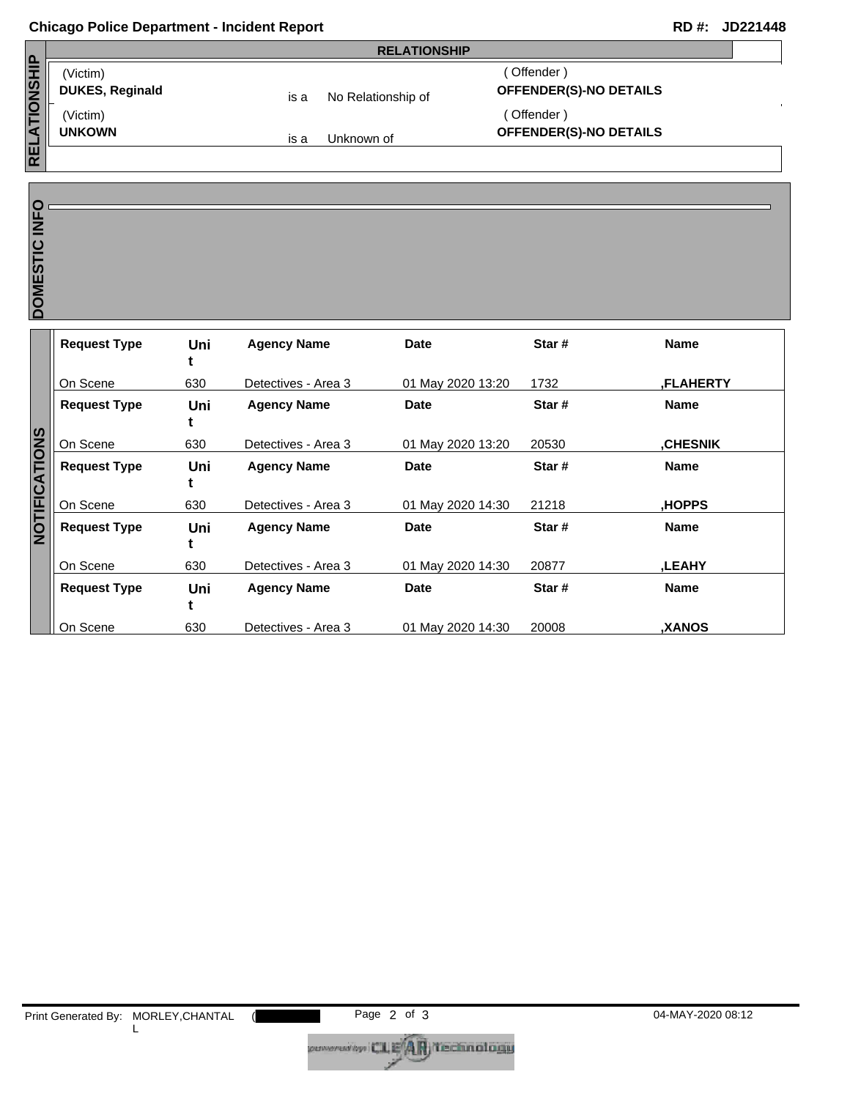## **Chicago Police Department - Incident Report RD #: JD221448**

|                     | <b>RELATIONSHIP</b>    |      |                    |                               |  |
|---------------------|------------------------|------|--------------------|-------------------------------|--|
| <b>RELATIONSHIP</b> | (Victim)               |      | Offender)          |                               |  |
|                     | <b>DUKES, Reginald</b> | is a | No Relationship of | <b>OFFENDER(S)-NO DETAILS</b> |  |
|                     | (Victim)               |      |                    | Offender)                     |  |
|                     | <b>UNKOWN</b>          | is a | Unknown of         | <b>OFFENDER(S)-NO DETAILS</b> |  |
|                     |                        |      |                    |                               |  |

DOMESTIC INFO

| DOMESTIC INFO |                     |     |                     |                   |        |                 |
|---------------|---------------------|-----|---------------------|-------------------|--------|-----------------|
|               |                     |     |                     |                   |        |                 |
|               | <b>Request Type</b> | Uni | <b>Agency Name</b>  | <b>Date</b>       | Star # | <b>Name</b>     |
|               |                     | t   |                     |                   |        |                 |
|               | On Scene            | 630 | Detectives - Area 3 | 01 May 2020 13:20 | 1732   | ,FLAHERTY       |
|               | <b>Request Type</b> | Uni | <b>Agency Name</b>  | <b>Date</b>       | Star#  | <b>Name</b>     |
|               |                     |     |                     |                   |        |                 |
| NOTIFICATIONS | On Scene            | 630 | Detectives - Area 3 | 01 May 2020 13:20 | 20530  | <b>,CHESNIK</b> |
|               | <b>Request Type</b> | Uni | <b>Agency Name</b>  | <b>Date</b>       | Star#  | <b>Name</b>     |
|               |                     |     |                     |                   |        |                 |
|               |                     |     |                     |                   |        |                 |
|               | On Scene            | 630 | Detectives - Area 3 | 01 May 2020 14:30 | 21218  | HOPPS,          |
|               | <b>Request Type</b> | Uni | <b>Agency Name</b>  | <b>Date</b>       | Star#  | <b>Name</b>     |
|               |                     |     |                     |                   |        |                 |
|               | On Scene            | 630 | Detectives - Area 3 | 01 May 2020 14:30 | 20877  | <b>,LEAHY</b>   |
|               | <b>Request Type</b> | Uni | <b>Agency Name</b>  | <b>Date</b>       | Star#  | <b>Name</b>     |
|               |                     | t   |                     |                   |        |                 |
|               | On Scene            | 630 | Detectives - Area 3 | 01 May 2020 14:30 | 20008  | ,XANOS          |
|               |                     |     |                     |                   |        |                 |

coveradby CLE<sup>4</sup>AR Technology